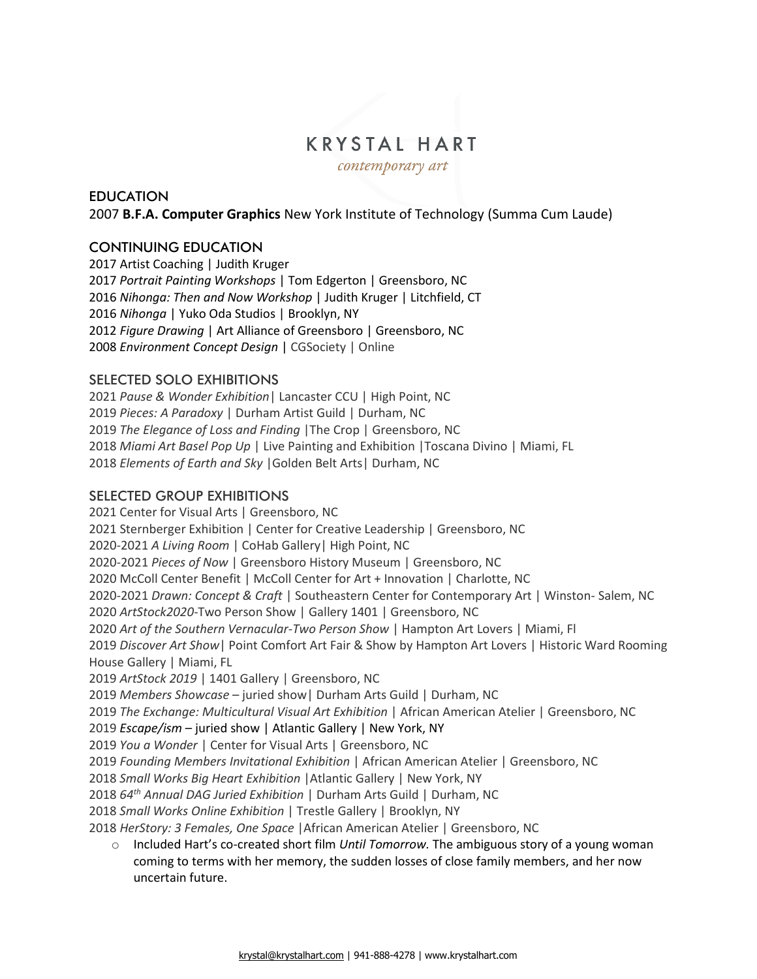# **KRYSTAL HART**

contemporary art

## **EDUCATION** 2007 **B.F.A. Computer Graphics** New York Institute of Technology (Summa Cum Laude)

# CONTINUING EDUCATION

2017 Artist Coaching | Judith Kruger *Portrait Painting Workshops* | Tom Edgerton | Greensboro, NC *Nihonga: Then and Now Workshop* | Judith Kruger | Litchfield, CT *Nihonga* | Yuko Oda Studios | Brooklyn, NY *Figure Drawing* | Art Alliance of Greensboro | Greensboro, NC *Environment Concept Design* | CGSociety | Online

## SELECTED SOLO EXHIBITIONS

*Pause & Wonder Exhibition*| Lancaster CCU | High Point, NC *Pieces: A Paradoxy* | Durham Artist Guild | Durham, NC *The Elegance of Loss and Finding* |The Crop | Greensboro, NC *Miami Art Basel Pop Up* | Live Painting and Exhibition |Toscana Divino | Miami, FL *Elements of Earth and Sky* |Golden Belt Arts| Durham, NC

### SELECTED GROUP EXHIBITIONS

2021 Center for Visual Arts | Greensboro, NC 2021 Sternberger Exhibition | Center for Creative Leadership | Greensboro, NC 2020-2021 *A Living Room* | CoHab Gallery| High Point, NC 2020-2021 *Pieces of Now* | Greensboro History Museum | Greensboro, NC 2020 McColl Center Benefit | McColl Center for Art + Innovation | Charlotte, NC 2020-2021 *Drawn: Concept & Craft* | Southeastern Center for Contemporary Art | Winston- Salem, NC 2020 *ArtStock2020*-Two Person Show | Gallery 1401 | Greensboro, NC 2020 *Art of the Southern Vernacular-Two Person Show* | Hampton Art Lovers | Miami, Fl 2019 *Discover Art Show*| Point Comfort Art Fair & Show by Hampton Art Lovers | Historic Ward Rooming House Gallery | Miami, FL 2019 *ArtStock 2019* | 1401 Gallery | Greensboro, NC 2019 *Members Showcase* – juried show| Durham Arts Guild | Durham, NC 2019 *The Exchange: Multicultural Visual Art Exhibition* | African American Atelier | Greensboro, NC 2019 *Escape/ism* – juried show | Atlantic Gallery | New York, NY 2019 *You a Wonder* | Center for Visual Arts | Greensboro, NC 2019 *Founding Members Invitational Exhibition* | African American Atelier | Greensboro, NC 2018 *Small Works Big Heart Exhibition* |Atlantic Gallery | New York, NY 2018 *64th Annual DAG Juried Exhibition* | Durham Arts Guild | Durham, NC 2018 *Small Works Online Exhibition* | Trestle Gallery | Brooklyn, NY 2018 *HerStory: 3 Females, One Space* |African American Atelier | Greensboro, NC o Included Hart's co-created short film *Until Tomorrow.* The ambiguous story of a young woman coming to terms with her memory, the sudden losses of close family members, and her now

uncertain future.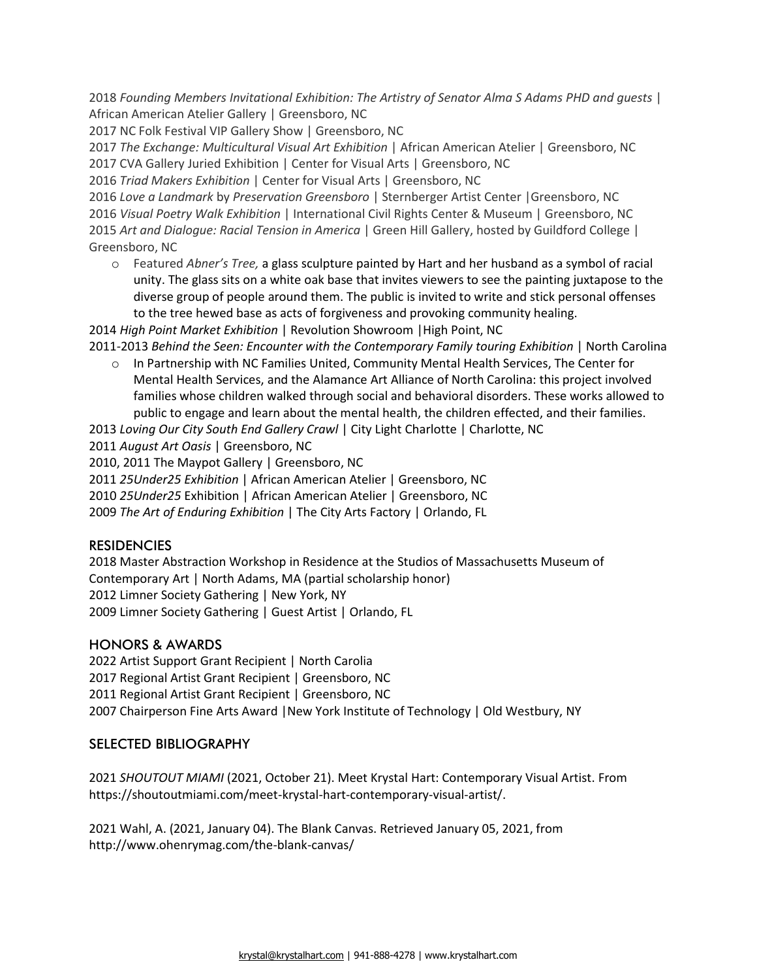2018 *Founding Members Invitational Exhibition: The Artistry of Senator Alma S Adams PHD and guests* | African American Atelier Gallery | Greensboro, NC

2017 NC Folk Festival VIP Gallery Show | Greensboro, NC

2017 *The Exchange: Multicultural Visual Art Exhibition* | African American Atelier | Greensboro, NC 2017 CVA Gallery Juried Exhibition | Center for Visual Arts | Greensboro, NC

2016 *Triad Makers Exhibition* | Center for Visual Arts | Greensboro, NC

*Love a Landmark* by *Preservation Greensboro* | Sternberger Artist Center |Greensboro, NC *Visual Poetry Walk Exhibition* | International Civil Rights Center & Museum | Greensboro, NC *Art and Dialogue: Racial Tension in America* | Green Hill Gallery, hosted by Guildford College | Greensboro, NC

o Featured *Abner's Tree,* a glass sculpture painted by Hart and her husband as a symbol of racial unity. The glass sits on a white oak base that invites viewers to see the painting juxtapose to the diverse group of people around them. The public is invited to write and stick personal offenses to the tree hewed base as acts of forgiveness and provoking community healing.

2014 *High Point Market Exhibition* | Revolution Showroom |High Point, NC

- 2011-2013 *Behind the Seen: Encounter with the Contemporary Family touring Exhibition* | North Carolina o In Partnership with NC Families United, Community Mental Health Services, The Center for
	- Mental Health Services, and the Alamance Art Alliance of North Carolina: this project involved families whose children walked through social and behavioral disorders. These works allowed to public to engage and learn about the mental health, the children effected, and their families.

2013 *Loving Our City South End Gallery Crawl* | City Light Charlotte | Charlotte, NC

2011 *August Art Oasis* | Greensboro, NC

2010, 2011 The Maypot Gallery | Greensboro, NC

2011 *25Under25 Exhibition* | African American Atelier | Greensboro, NC

2010 *25Under25* Exhibition | African American Atelier | Greensboro, NC

2009 *The Art of Enduring Exhibition* | The City Arts Factory | Orlando, FL

#### **RESIDENCIES**

2018 Master Abstraction Workshop in Residence at the Studios of Massachusetts Museum of Contemporary Art | North Adams, MA (partial scholarship honor) 2012 Limner Society Gathering | New York, NY 2009 Limner Society Gathering | Guest Artist | Orlando, FL

#### HONORS & AWARDS

2022 Artist Support Grant Recipient | North Carolia 2017 Regional Artist Grant Recipient | Greensboro, NC 2011 Regional Artist Grant Recipient | Greensboro, NC 2007 Chairperson Fine Arts Award |New York Institute of Technology | Old Westbury, NY

#### SELECTED BIBLIOGRAPHY

2021 *SHOUTOUT MIAMI* (2021, October 21). Meet Krystal Hart: Contemporary Visual Artist. From https://shoutoutmiami.com/meet-krystal-hart-contemporary-visual-artist/.

2021 Wahl, A. (2021, January 04). The Blank Canvas. Retrieved January 05, 2021, from http://www.ohenrymag.com/the-blank-canvas/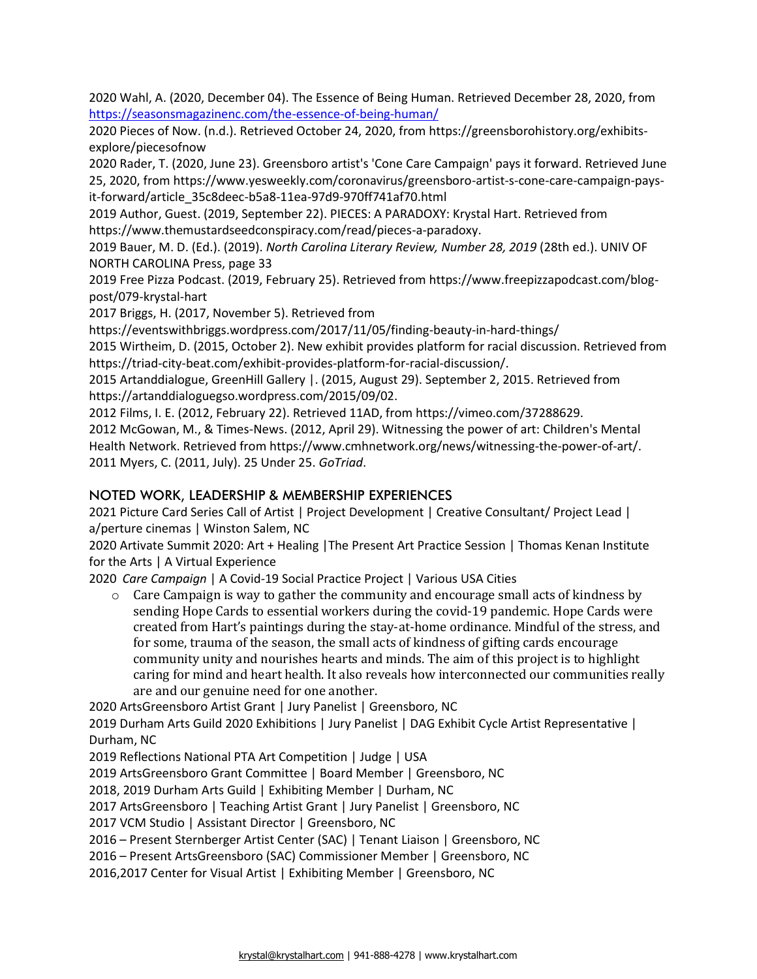2020 Wahl, A. (2020, December 04). The Essence of Being Human. Retrieved December 28, 2020, from <https://seasonsmagazinenc.com/the-essence-of-being-human/>

2020 Pieces of Now. (n.d.). Retrieved October 24, 2020, from https://greensborohistory.org/exhibitsexplore/piecesofnow

2020 Rader, T. (2020, June 23). Greensboro artist's 'Cone Care Campaign' pays it forward. Retrieved June 25, 2020, from https://www.yesweekly.com/coronavirus/greensboro-artist-s-cone-care-campaign-paysit-forward/article\_35c8deec-b5a8-11ea-97d9-970ff741af70.html

2019 Author, Guest. (2019, September 22). PIECES: A PARADOXY: Krystal Hart. Retrieved from https://www.themustardseedconspiracy.com/read/pieces-a-paradoxy.

2019 Bauer, M. D. (Ed.). (2019). *North Carolina Literary Review, Number 28, 2019* (28th ed.). UNIV OF NORTH CAROLINA Press, page 33

2019 Free Pizza Podcast. (2019, February 25). Retrieved from https://www.freepizzapodcast.com/blogpost/079-krystal-hart

2017 Briggs, H. (2017, November 5). Retrieved from

https://eventswithbriggs.wordpress.com/2017/11/05/finding-beauty-in-hard-things/

2015 Wirtheim, D. (2015, October 2). New exhibit provides platform for racial discussion. Retrieved from https://triad-city-beat.com/exhibit-provides-platform-for-racial-discussion/.

2015 Artanddialogue, GreenHill Gallery |. (2015, August 29). September 2, 2015. Retrieved from https://artanddialoguegso.wordpress.com/2015/09/02.

2012 Films, I. E. (2012, February 22). Retrieved 11AD, from https://vimeo.com/37288629.

2012 McGowan, M., & Times-News. (2012, April 29). Witnessing the power of art: Children's Mental Health Network. Retrieved from https://www.cmhnetwork.org/news/witnessing-the-power-of-art/. 2011 Myers, C. (2011, July). 25 Under 25. *GoTriad*.

# NOTED WORK, LEADERSHIP & MEMBERSHIP EXPERIENCES

2021 Picture Card Series Call of Artist | Project Development | Creative Consultant/ Project Lead | a/perture cinemas | Winston Salem, NC

2020 Artivate Summit 2020: Art + Healing |The Present Art Practice Session | Thomas Kenan Institute for the Arts | A Virtual Experience

2020 *Care Campaign* | A Covid-19 Social Practice Project | Various USA Cities

 $\circ$  Care Campaign is way to gather the community and encourage small acts of kindness by sending Hope Cards to essential workers during the covid-19 pandemic. Hope Cards were created from Hart's paintings during the stay-at-home ordinance. Mindful of the stress, and for some, trauma of the season, the small acts of kindness of gifting cards encourage community unity and nourishes hearts and minds. The aim of this project is to highlight caring for mind and heart health. It also reveals how interconnected our communities really are and our genuine need for one another.

2020 ArtsGreensboro Artist Grant | Jury Panelist | Greensboro, NC

2019 Durham Arts Guild 2020 Exhibitions | Jury Panelist | DAG Exhibit Cycle Artist Representative | Durham, NC

2019 Reflections National PTA Art Competition | Judge | USA

2019 ArtsGreensboro Grant Committee | Board Member | Greensboro, NC

2018, 2019 Durham Arts Guild | Exhibiting Member | Durham, NC

2017 ArtsGreensboro | Teaching Artist Grant | Jury Panelist | Greensboro, NC

2017 VCM Studio | Assistant Director | Greensboro, NC

2016 – Present Sternberger Artist Center (SAC) | Tenant Liaison | Greensboro, NC

2016 – Present ArtsGreensboro (SAC) Commissioner Member | Greensboro, NC

2016,2017 Center for Visual Artist | Exhibiting Member | Greensboro, NC